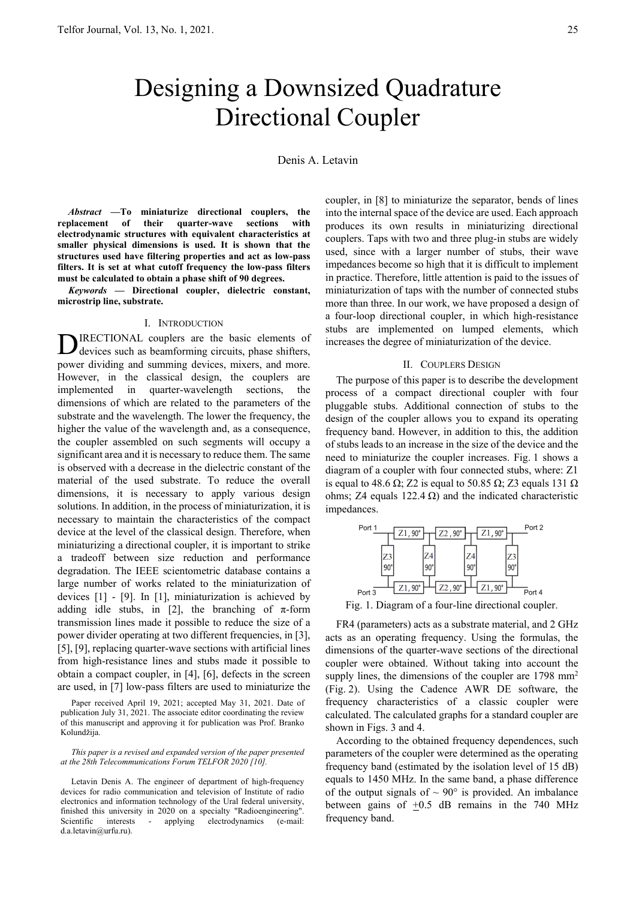# Designing a Downsized Quadrature Directional Coupler

Denis A. Letavin

*Abstract* **—To miniaturize directional couplers, the replacement of their quarter-wave sections with electrodynamic structures with equivalent characteristics at smaller physical dimensions is used. It is shown that the structures used have filtering properties and act as low-pass filters. It is set at what cutoff frequency the low-pass filters must be calculated to obtain a phase shift of 90 degrees.** 

*Keywords* **— Directional coupler, dielectric constant, microstrip line, substrate.** 

### I. INTRODUCTION

IRECTIONAL couplers are the basic elements of devices such as beamforming circuits, phase shifters, power dividing and summing devices, mixers, and more. However, in the classical design, the couplers are implemented in quarter-wavelength sections, the dimensions of which are related to the parameters of the substrate and the wavelength. The lower the frequency, the higher the value of the wavelength and, as a consequence, the coupler assembled on such segments will occupy a significant area and it is necessary to reduce them. The same is observed with a decrease in the dielectric constant of the material of the used substrate. To reduce the overall dimensions, it is necessary to apply various design solutions. In addition, in the process of miniaturization, it is necessary to maintain the characteristics of the compact device at the level of the classical design. Therefore, when miniaturizing a directional coupler, it is important to strike a tradeoff between size reduction and performance degradation. The IEEE scientometric database contains a large number of works related to the miniaturization of devices [1] - [9]. In [1], miniaturization is achieved by adding idle stubs, in [2], the branching of  $\pi$ -form transmission lines made it possible to reduce the size of a power divider operating at two different frequencies, in [3], [5], [9], replacing quarter-wave sections with artificial lines from high-resistance lines and stubs made it possible to obtain a compact coupler, in [4], [6], defects in the screen are used, in [7] low-pass filters are used to miniaturize the D

Paper received April 19, 2021; accepted May 31, 2021. Date of publication July 31, 2021. The associate editor coordinating the review of this manuscript and approving it for publication was Prof. Branko Kolundžija.

*This paper is a revised and expanded version of the paper presented at the 28th Telecommunications Forum TELFOR 2020 [10].* 

Letavin Denis A. The engineer of department of high-frequency devices for radio communication and television of Institute of radio electronics and information technology of the Ural federal university, finished this university in 2020 on a specialty "Radioengineering". Scientific interests - applying electrodynamics (e-mail: d.a.letavin@urfu.ru).

coupler, in [8] to miniaturize the separator, bends of lines into the internal space of the device are used. Each approach produces its own results in miniaturizing directional couplers. Taps with two and three plug-in stubs are widely used, since with a larger number of stubs, their wave impedances become so high that it is difficult to implement in practice. Therefore, little attention is paid to the issues of miniaturization of taps with the number of connected stubs more than three. In our work, we have proposed a design of a four-loop directional coupler, in which high-resistance stubs are implemented on lumped elements, which increases the degree of miniaturization of the device.

## II. COUPLERS DESIGN

The purpose of this paper is to describe the development process of a compact directional coupler with four pluggable stubs. Additional connection of stubs to the design of the coupler allows you to expand its operating frequency band. However, in addition to this, the addition of stubs leads to an increase in the size of the device and the need to miniaturize the coupler increases. Fig. 1 shows a diagram of a coupler with four connected stubs, where: Z1 is equal to 48.6 Ω; Z2 is equal to 50.85 Ω; Z3 equals 131 Ω ohms; Z4 equals 122.4 Ω) and the indicated characteristic impedances.



Fig. 1. Diagram of a four-line directional coupler.

FR4 (parameters) acts as a substrate material, and 2 GHz acts as an operating frequency. Using the formulas, the dimensions of the quarter-wave sections of the directional coupler were obtained. Without taking into account the supply lines, the dimensions of the coupler are 1798 mm<sup>2</sup> (Fig. 2). Using the Cadence AWR DE software, the frequency characteristics of a classic coupler were calculated. The calculated graphs for a standard coupler are shown in Figs. 3 and 4.

According to the obtained frequency dependences, such parameters of the coupler were determined as the operating frequency band (estimated by the isolation level of 15 dB) equals to 1450 MHz. In the same band, a phase difference of the output signals of  $\sim 90^\circ$  is provided. An imbalance between gains of  $+0.5$  dB remains in the 740 MHz frequency band.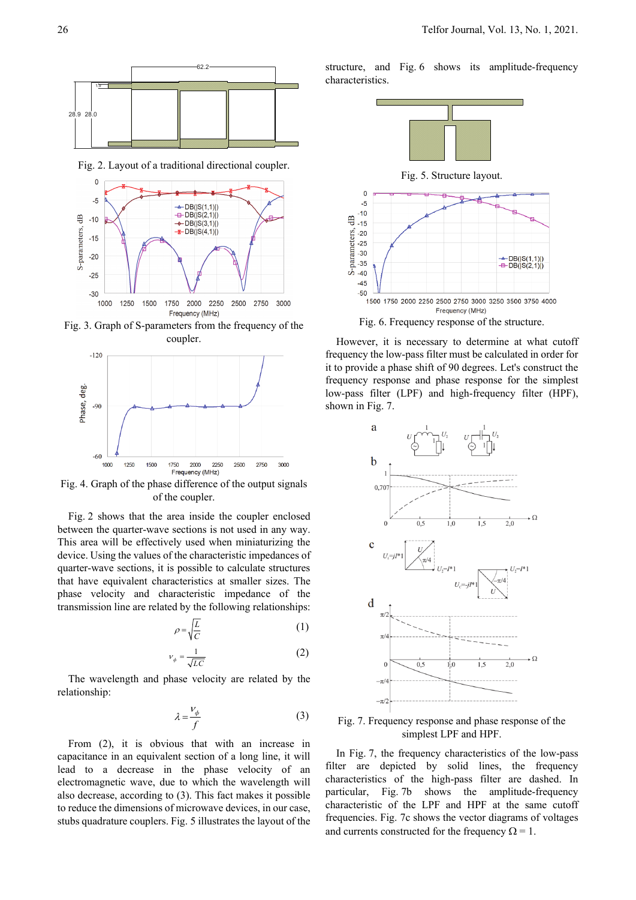

Fig. 2. Layout of a traditional directional coupler.



Fig. 3. Graph of S-parameters from the frequency of the coupler.



Fig. 4. Graph of the phase difference of the output signals of the coupler.

Fig. 2 shows that the area inside the coupler enclosed between the quarter-wave sections is not used in any way. This area will be effectively used when miniaturizing the device. Using the values of the characteristic impedances of quarter-wave sections, it is possible to calculate structures that have equivalent characteristics at smaller sizes. The phase velocity and characteristic impedance of the transmission line are related by the following relationships:

$$
\rho = \sqrt{\frac{L}{C}}\tag{1}
$$

$$
v_{\phi} = \frac{1}{\sqrt{LC}}\tag{2}
$$

The wavelength and phase velocity are related by the relationship:

$$
\lambda = \frac{V_{\phi}}{f} \tag{3}
$$

From (2), it is obvious that with an increase in capacitance in an equivalent section of a long line, it will lead to a decrease in the phase velocity of an electromagnetic wave, due to which the wavelength will also decrease, according to (3). This fact makes it possible to reduce the dimensions of microwave devices, in our case, stubs quadrature couplers. Fig. 5 illustrates the layout of the structure, and Fig. 6 shows its amplitude-frequency characteristics.



Fig. 6. Frequency response of the structure.

However, it is necessary to determine at what cutoff frequency the low-pass filter must be calculated in order for it to provide a phase shift of 90 degrees. Let's construct the frequency response and phase response for the simplest low-pass filter (LPF) and high-frequency filter (HPF), shown in Fig. 7.



Fig. 7. Frequency response and phase response of the simplest LPF and HPF.

In Fig. 7, the frequency characteristics of the low-pass filter are depicted by solid lines, the frequency characteristics of the high-pass filter are dashed. In particular, Fig. 7b shows the amplitude-frequency characteristic of the LPF and HPF at the same cutoff frequencies. Fig. 7c shows the vector diagrams of voltages and currents constructed for the frequency  $\Omega = 1$ .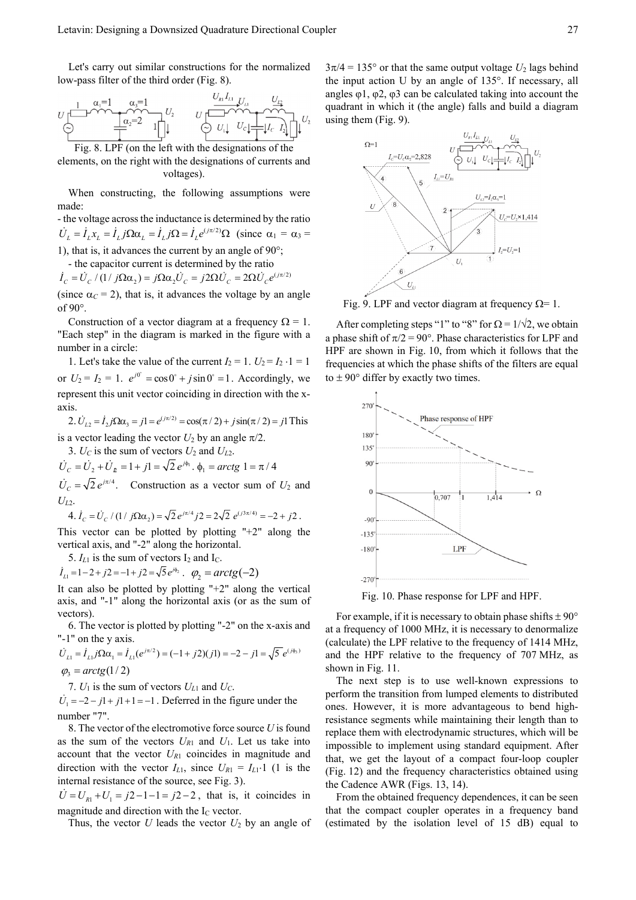Let's carry out similar constructions for the normalized low-pass filter of the third order (Fig. 8).

$$
U\begin{bmatrix} 1 & \alpha_i=1 & \alpha_s=1 & U_{k1} & U_{k2} \\ \hline 0 & 0 & 0 & 0 \\ \hline 0 & 0 & 0 & 0 \end{bmatrix} \begin{bmatrix} U_{k1} & U_{k2} & U_{k3} \\ \hline 0 & 0 & 0 \\ \hline 0 & 0 & 0 \end{bmatrix} \begin{bmatrix} 0 & 0 & 0 \\ \hline 0 & 0 & 0 \\ \hline 0 & 0 & 0 \end{bmatrix} U_{k1} \begin{bmatrix} 0 & 0 & 0 \\ 0 & 0 & 0 \\ \hline 0 & 0 & 0 \end{bmatrix} U_{k2}
$$

Fig. 8. LPF (on the left with the designations of the elements, on the right with the designations of currents and voltages).

When constructing, the following assumptions were made:

- the voltage across the inductance is determined by the ratio  $\dot{U}_L = \dot{I}_L x_L = \dot{I}_L j \Omega \alpha_L = \dot{I}_L j \Omega = \dot{I}_L e^{(j\pi/2)} \Omega$  (since  $\alpha_1 = \alpha_3 =$ 1), that is, it advances the current by an angle of  $90^\circ$ ;

- the capacitor current is determined by the ratio

 $\dot{I}_c = \dot{U}_c / (1 / j \Omega \alpha_2) = j \Omega \alpha_2 \dot{U}_c = j 2 \Omega \dot{U}_c = 2 \Omega \dot{U}_c e^{(j \pi/2)}$ 

(since  $\alpha_C = 2$ ), that is, it advances the voltage by an angle of 90.

Construction of a vector diagram at a frequency  $\Omega = 1$ . "Each step" in the diagram is marked in the figure with a number in a circle:

1. Let's take the value of the current  $I_2 = 1$ .  $U_2 = I_2 \cdot 1 = 1$ or  $U_2 = I_2 = 1$ .  $e^{j0^\circ} = \cos 0^\circ + j \sin 0^\circ = 1$ . Accordingly, we represent this unit vector coinciding in direction with the xaxis.

2.  $\dot{U}_{L2} = \dot{I}_2 j \Omega \alpha_3 = jI = e^{(j\pi/2)} = \cos(\pi/2) + j \sin(\pi/2) = jI$  This is a vector leading the vector  $U_2$  by an angle  $\pi/2$ .

3.  $U_C$  is the sum of vectors  $U_2$  and  $U_{L2}$ .

$$
\dot{U}_C = \dot{U}_2 + \dot{U}_R = 1 + j1 = \sqrt{2} e^{j\phi_1} \cdot \phi_1 = \arctg 1 = \pi/4
$$

 $\dot{U}_c = \sqrt{2} e^{j\pi/4}$ . Construction as a vector sum of  $U_2$  and  $U_{L2}$ .

4. 
$$
I_c = U_c / (1 / j\Omega\alpha_2) = \sqrt{2} e^{j\pi/4} j2 = 2\sqrt{2} e^{(j3\pi/4)} = -2 + j2
$$
.

This vector can be plotted by plotting " $+2$ " along the vertical axis, and "-2" along the horizontal.

5.  $I_{L1}$  is the sum of vectors  $I_2$  and  $I_C$ .

 $\dot{I}_{L1} = 1 - 2 + j2 = -1 + j2 = \sqrt{5} e^{j\phi_2}$ .  $\varphi_2 = \arctg(-2)$ 

It can also be plotted by plotting "+2" along the vertical axis, and "-1" along the horizontal axis (or as the sum of vectors).

6. The vector is plotted by plotting "-2" on the x-axis and "-1" on the y axis.

$$
\dot{U}_{L1} = \dot{I}_{L1} j \Omega \alpha_1 = \dot{I}_{L1} (e^{j\pi/2}) = (-1 + j2)(j1) = -2 - j1 = \sqrt{5} e^{(j\phi_3)}
$$
  

$$
\varphi_3 = \arctg(1/2)
$$

7.  $U_1$  is the sum of vectors  $U_{L1}$  and  $U_C$ .

 $\dot{U}_1 = -2 - iI + iI + I = -1$ . Deferred in the figure under the number "7".

8. The vector of the electromotive force source *U* is found as the sum of the vectors  $U_{R1}$  and  $U_1$ . Let us take into account that the vector  $U_{R1}$  coincides in magnitude and direction with the vector  $I_{L1}$ , since  $U_{R1} = I_{L1} \cdot 1$  (1 is the internal resistance of the source, see Fig. 3).

 $U = U_{R1} + U_1 = j2 - 1 - 1 = j2 - 2$ , that is, it coincides in magnitude and direction with the  $I_c$  vector.

Thus, the vector  $U$  leads the vector  $U_2$  by an angle of

 $3\pi/4 = 135^{\circ}$  or that the same output voltage  $U_2$  lags behind the input action U by an angle of 135°. If necessary, all angles  $\varphi$ 1,  $\varphi$ 2,  $\varphi$ 3 can be calculated taking into account the quadrant in which it (the angle) falls and build a diagram using them (Fig. 9).



Fig. 9. LPF and vector diagram at frequency  $\Omega = 1$ .

After completing steps "1" to "8" for  $\Omega = 1/\sqrt{2}$ , we obtain a phase shift of  $\pi/2 = 90^\circ$ . Phase characteristics for LPF and HPF are shown in Fig. 10, from which it follows that the frequencies at which the phase shifts of the filters are equal to  $\pm$  90 $\degree$  differ by exactly two times.



Fig. 10. Phase response for LPF and HPF.

For example, if it is necessary to obtain phase shifts  $\pm 90^{\circ}$ at a frequency of 1000 MHz, it is necessary to denormalize (calculate) the LPF relative to the frequency of 1414 MHz, and the HPF relative to the frequency of 707 MHz, as shown in Fig. 11.

The next step is to use well-known expressions to perform the transition from lumped elements to distributed ones. However, it is more advantageous to bend highresistance segments while maintaining their length than to replace them with electrodynamic structures, which will be impossible to implement using standard equipment. After that, we get the layout of a compact four-loop coupler (Fig. 12) and the frequency characteristics obtained using the Cadence AWR (Figs. 13, 14).

From the obtained frequency dependences, it can be seen that the compact coupler operates in a frequency band (estimated by the isolation level of 15 dB) equal to